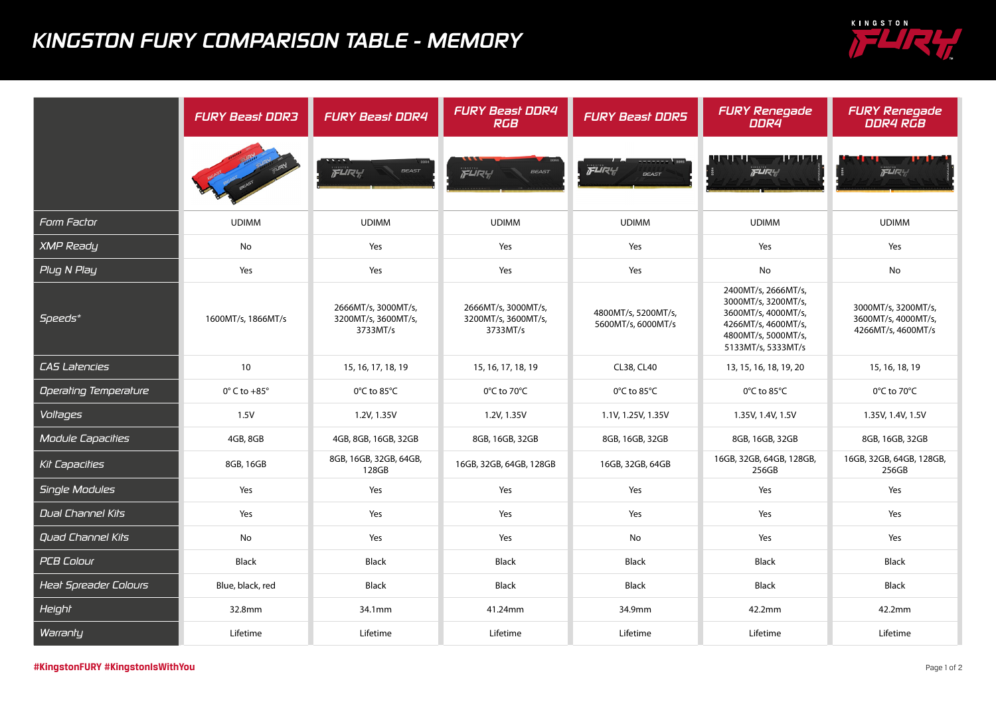## *KINGSTON FURY COMPARISON TABLE - MEMORY*



|                              | <b>FURY Beast DDR3</b>      | <b>FURY Beast DDR4</b>                                 | <b>FURY Beast DDR4</b><br><b>RGB</b>                   | <b>FURY Beast DDR5</b>                    | <b>FURY Renegade</b><br>DDR4                                                                                                          | <b>FURY Renegade</b><br><b>DDR4 RGB</b>                          |
|------------------------------|-----------------------------|--------------------------------------------------------|--------------------------------------------------------|-------------------------------------------|---------------------------------------------------------------------------------------------------------------------------------------|------------------------------------------------------------------|
|                              |                             | FLIRY!<br><b>BEAST</b>                                 | FLIRY<br><b>BEAST</b>                                  | FLIRY<br><b>BEAST</b>                     | FURY                                                                                                                                  | FURY                                                             |
| Form Factor                  | <b>UDIMM</b>                | <b>UDIMM</b>                                           | <b>UDIMM</b>                                           | <b>UDIMM</b>                              | <b>UDIMM</b>                                                                                                                          | <b>UDIMM</b>                                                     |
| <b>XMP Ready</b>             | No                          | Yes                                                    | Yes                                                    | Yes                                       | Yes                                                                                                                                   | Yes                                                              |
| Plug N Play                  | Yes                         | Yes                                                    | Yes                                                    | Yes                                       | No                                                                                                                                    | <b>No</b>                                                        |
| Speeds*                      | 1600MT/s, 1866MT/s          | 2666MT/s, 3000MT/s,<br>3200MT/s, 3600MT/s,<br>3733MT/s | 2666MT/s, 3000MT/s,<br>3200MT/s, 3600MT/s,<br>3733MT/s | 4800MT/s, 5200MT/s,<br>5600MT/s, 6000MT/s | 2400MT/s, 2666MT/s,<br>3000MT/s, 3200MT/s,<br>3600MT/s, 4000MT/s,<br>4266MT/s, 4600MT/s,<br>4800MT/s, 5000MT/s,<br>5133MT/s, 5333MT/s | 3000MT/s, 3200MT/s,<br>3600MT/s, 4000MT/s,<br>4266MT/s, 4600MT/s |
| <b>CAS Latencies</b>         | 10                          | 15, 16, 17, 18, 19                                     | 15, 16, 17, 18, 19                                     | CL38, CL40                                | 13, 15, 16, 18, 19, 20                                                                                                                | 15, 16, 18, 19                                                   |
| Operating Temperature        | $0^\circ$ C to +85 $^\circ$ | 0°C to 85°C                                            | 0°C to 70°C                                            | $0^{\circ}$ C to 85 $^{\circ}$ C          | 0°C to 85°C                                                                                                                           | 0°C to 70°C                                                      |
| Voltages                     | 1.5V                        | 1.2V, 1.35V                                            | 1.2V, 1.35V                                            | 1.1V, 1.25V, 1.35V                        | 1.35V, 1.4V, 1.5V                                                                                                                     | 1.35V, 1.4V, 1.5V                                                |
| <b>Module Capacities</b>     | 4GB, 8GB                    | 4GB, 8GB, 16GB, 32GB                                   | 8GB, 16GB, 32GB                                        | 8GB, 16GB, 32GB                           | 8GB, 16GB, 32GB                                                                                                                       | 8GB, 16GB, 32GB                                                  |
| Kil <sup>-</sup> Capacilies  | 8GB, 16GB                   | 8GB, 16GB, 32GB, 64GB,<br>128GB                        | 16GB, 32GB, 64GB, 128GB                                | 16GB, 32GB, 64GB                          | 16GB, 32GB, 64GB, 128GB,<br>256GB                                                                                                     | 16GB, 32GB, 64GB, 128GB,<br>256GB                                |
| Single Modules               | Yes                         | Yes                                                    | Yes                                                    | Yes                                       | Yes                                                                                                                                   | Yes                                                              |
| <b>Dual Channel Kits</b>     | Yes                         | Yes                                                    | Yes                                                    | Yes                                       | Yes                                                                                                                                   | Yes                                                              |
| <b>Quad Channel Kits</b>     | No                          | Yes                                                    | Yes                                                    | No                                        | Yes                                                                                                                                   | Yes                                                              |
| <b>PCB Colour</b>            | <b>Black</b>                | <b>Black</b>                                           | <b>Black</b>                                           | <b>Black</b>                              | <b>Black</b>                                                                                                                          | <b>Black</b>                                                     |
| <b>Heat Spreader Colours</b> | Blue, black, red            | <b>Black</b>                                           | <b>Black</b>                                           | <b>Black</b>                              | Black                                                                                                                                 | <b>Black</b>                                                     |
| Height                       | 32.8mm                      | 34.1mm                                                 | 41.24mm                                                | 34.9mm                                    | 42.2mm                                                                                                                                | 42.2mm                                                           |
| Warranty                     | Lifetime                    | Lifetime                                               | Lifetime                                               | Lifetime                                  | Lifetime                                                                                                                              | Lifetime                                                         |